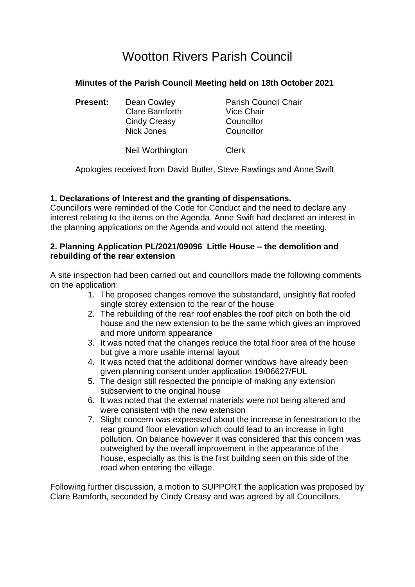# Wootton Rivers Parish Council

## **Minutes of the Parish Council Meeting held on 18th October 2021**

**Present:** Dean Cowley **Parish Council Chair** Clare Bamforth Vice Chair Cindy Creasy Councillor Nick Jones Councillor

Neil Worthington Clerk

Apologies received from David Butler, Steve Rawlings and Anne Swift

### **1. Declarations of Interest and the granting of dispensations.**

Councillors were reminded of the Code for Conduct and the need to declare any interest relating to the items on the Agenda. Anne Swift had declared an interest in the planning applications on the Agenda and would not attend the meeting.

#### **2. Planning Application PL/2021/09096 Little House – the demolition and rebuilding of the rear extension**

A site inspection had been carried out and councillors made the following comments on the application:

- 1. The proposed changes remove the substandard, unsightly flat roofed single storey extension to the rear of the house
- 2. The rebuilding of the rear roof enables the roof pitch on both the old house and the new extension to be the same which gives an improved and more uniform appearance
- 3. It was noted that the changes reduce the total floor area of the house but give a more usable internal layout
- 4. It was noted that the additional dormer windows have already been given planning consent under application 19/06627/FUL
- 5. The design still respected the principle of making any extension subservient to the original house
- 6. It was noted that the external materials were not being altered and were consistent with the new extension
- 7. Slight concern was expressed about the increase in fenestration to the rear ground floor elevation which could lead to an increase in light pollution. On balance however it was considered that this concern was outweighed by the overall improvement in the appearance of the house, especially as this is the first building seen on this side of the road when entering the village.

Following further discussion, a motion to SUPPORT the application was proposed by Clare Bamforth, seconded by Cindy Creasy and was agreed by all Councillors.